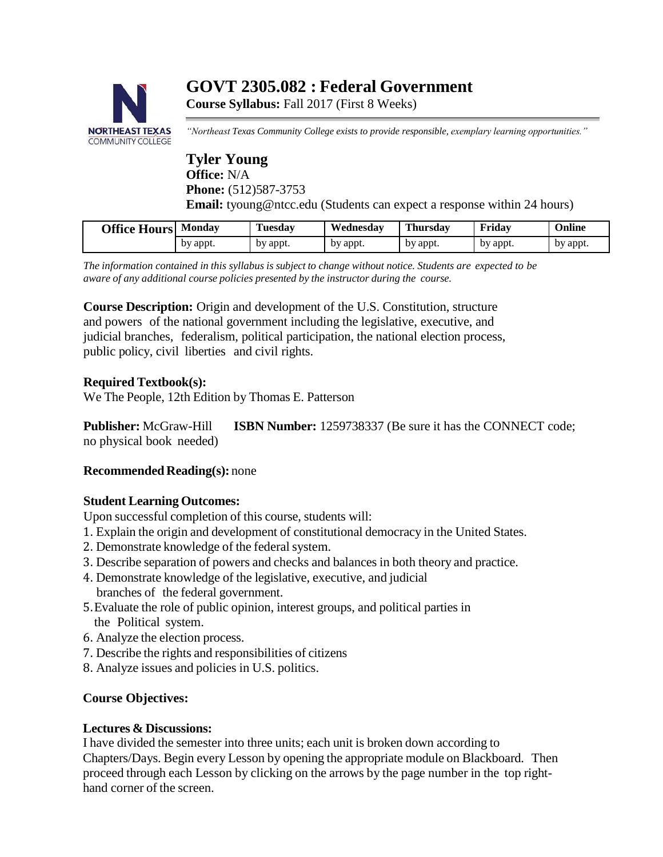# **GOVT 2305.082 : Federal Government**

**Course Syllabus:** Fall 2017 (First 8 Weeks)



*"Northeast Texas Community College exists to provide responsible, exemplary learning opportunities."*

**Tyler Young Office:** N/A **Phone:** (512)587-3753 **Email:** [tyoung@ntcc.edu](mailto:tyoung@ntcc.edu) (Students can expect a response within 24 hours)

| <b>Office Hours</b> | Monday   | Tuesday  | Wednesdav | <b>Thursday</b> | Fridav   | Online   |
|---------------------|----------|----------|-----------|-----------------|----------|----------|
|                     | by appt. | by appt. | by appt.  | by appt.        | by appt. | by appt. |

The information contained in this syllabus is subject to change without notice. Students are expected to be *aware of any additional course policies presented by the instructor during the course.*

**Course Description:** Origin and development of the U.S. Constitution, structure and powers of the national government including the legislative, executive, and judicial branches, federalism, political participation, the national election process, public policy, civil liberties and civil rights.

# **Required Textbook(s):**

We The People, 12th Edition by Thomas E. Patterson

**Publisher:** McGraw-Hill **ISBN Number:** 1259738337 (Be sure it has the CONNECT code; no physical book needed)

# **Recommended Reading(s):** none

# **Student Learning Outcomes:**

Upon successful completion of this course, students will:

1. Explain the origin and development of constitutional democracy in the United States.

- 2. Demonstrate knowledge of the federal system.
- 3. Describe separation of powers and checks and balances in both theory and practice.
- 4. Demonstrate knowledge of the legislative, executive, and judicial branches of the federal government.
- 5.Evaluate the role of public opinion, interest groups, and political parties in the Political system.
- 6. Analyze the election process.
- 7. Describe the rights and responsibilities of citizens
- 8. Analyze issues and policies in U.S. politics.

# **Course Objectives:**

# **Lectures & Discussions:**

I have divided the semester into three units; each unit is broken down according to Chapters/Days. Begin every Lesson by opening the appropriate module on Blackboard. Then proceed through each Lesson by clicking on the arrows by the page number in the top righthand corner of the screen.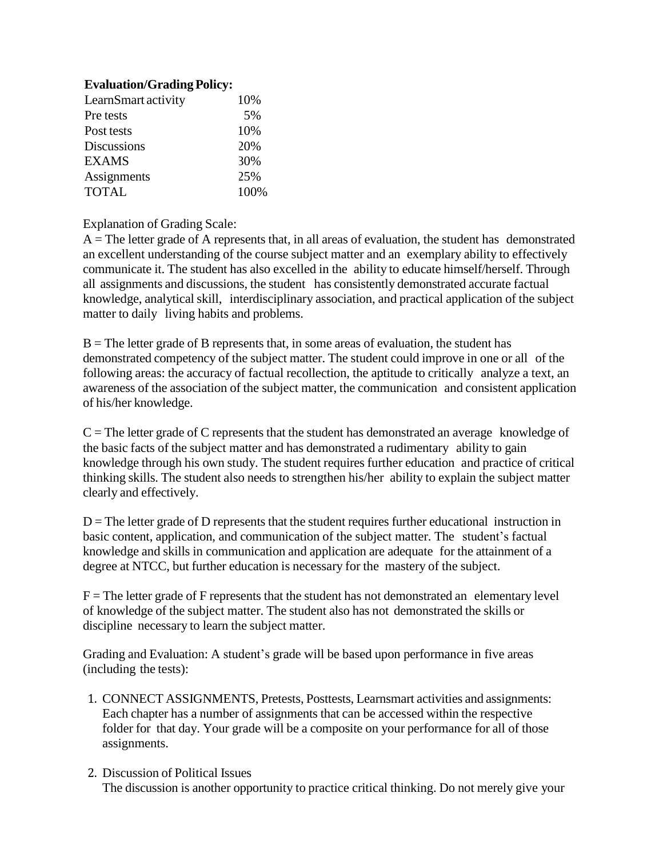## **Evaluation/GradingPolicy:**

| 10%  |
|------|
| 5%   |
| 10%  |
| 20%  |
| 30%  |
| 25%  |
| 100% |
|      |

Explanation of Grading Scale:

A = The letter grade of A represents that, in all areas of evaluation, the student has demonstrated an excellent understanding of the course subject matter and an exemplary ability to effectively communicate it. The student has also excelled in the ability to educate himself/herself. Through all assignments and discussions, the student has consistently demonstrated accurate factual knowledge, analytical skill, interdisciplinary association, and practical application of the subject matter to daily living habits and problems.

 $B =$ The letter grade of B represents that, in some areas of evaluation, the student has demonstrated competency of the subject matter. The student could improve in one or all of the following areas: the accuracy of factual recollection, the aptitude to critically analyze a text, an awareness of the association of the subject matter, the communication and consistent application of his/her knowledge.

 $C =$ The letter grade of C represents that the student has demonstrated an average knowledge of the basic facts of the subject matter and has demonstrated a rudimentary ability to gain knowledge through his own study. The student requires further education and practice of critical thinking skills. The student also needs to strengthen his/her ability to explain the subject matter clearly and effectively.

 $D =$ The letter grade of D represents that the student requires further educational instruction in basic content, application, and communication of the subject matter. The student's factual knowledge and skills in communication and application are adequate for the attainment of a degree at NTCC, but further education is necessary for the mastery of the subject.

 $F =$ The letter grade of F represents that the student has not demonstrated an elementary level of knowledge of the subject matter. The student also has not demonstrated the skills or discipline necessary to learn the subject matter.

Grading and Evaluation: A student's grade will be based upon performance in five areas (including the tests):

1. CONNECT ASSIGNMENTS, Pretests, Posttests, Learnsmart activities and assignments: Each chapter has a number of assignments that can be accessed within the respective folder for that day. Your grade will be a composite on your performance for all of those assignments.

## 2. Discussion of Political Issues

The discussion is another opportunity to practice critical thinking. Do not merely give your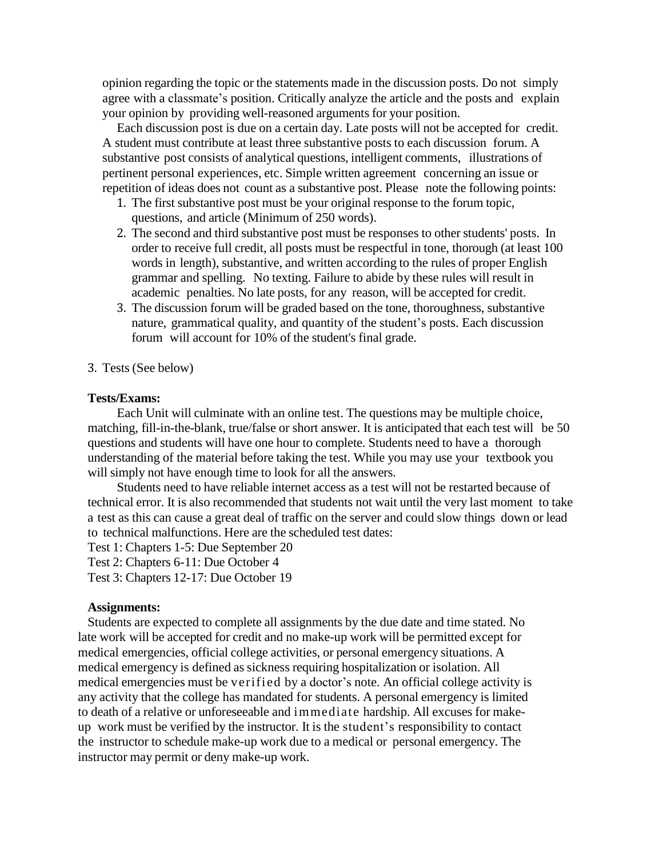opinion regarding the topic or the statements made in the discussion posts. Do not simply agree with a classmate's position. Critically analyze the article and the posts and explain your opinion by providing well-reasoned arguments for your position.

Each discussion post is due on a certain day. Late posts will not be accepted for credit. A student must contribute at least three substantive posts to each discussion forum. A substantive post consists of analytical questions, intelligent comments, illustrations of pertinent personal experiences, etc. Simple written agreement concerning an issue or repetition of ideas does not count as a substantive post. Please note the following points:

- 1. The first substantive post must be your original response to the forum topic, questions, and article (Minimum of 250 words).
- 2. The second and third substantive post must be responses to other students' posts. In order to receive full credit, all posts must be respectful in tone, thorough (at least 100 words in length), substantive, and written according to the rules of proper English grammar and spelling. No texting. Failure to abide by these rules will result in academic penalties. No late posts, for any reason, will be accepted for credit.
- 3. The discussion forum will be graded based on the tone, thoroughness, substantive nature, grammatical quality, and quantity of the student's posts. Each discussion forum will account for 10% of the student's final grade.

#### 3. Tests(See below)

#### **Tests/Exams:**

Each Unit will culminate with an online test. The questions may be multiple choice, matching, fill-in-the-blank, true/false or short answer. It is anticipated that each test will be 50 questions and students will have one hour to complete. Students need to have a thorough understanding of the material before taking the test. While you may use your textbook you will simply not have enough time to look for all the answers.

Students need to have reliable internet access as a test will not be restarted because of technical error. It is also recommended that students not wait until the very last moment to take a test as this can cause a great deal of traffic on the server and could slow things down or lead to technical malfunctions. Here are the scheduled test dates:

Test 1: Chapters 1-5: Due September 20

Test 2: Chapters 6-11: Due October 4

Test 3: Chapters 12-17: Due October 19

#### **Assignments:**

Students are expected to complete all assignments by the due date and time stated. No late work will be accepted for credit and no make-up work will be permitted except for medical emergencies, official college activities, or personal emergency situations. A medical emergency is defined assickness requiring hospitalization or isolation. All medical emergencies must be verified by a doctor's note. An official college activity is any activity that the college has mandated for students. A personal emergency is limited to death of a relative or unforeseeable and immediate hardship. All excuses for makeup work must be verified by the instructor. It is the student's responsibility to contact the instructor to schedule make-up work due to a medical or personal emergency. The instructor may permit or deny make-up work.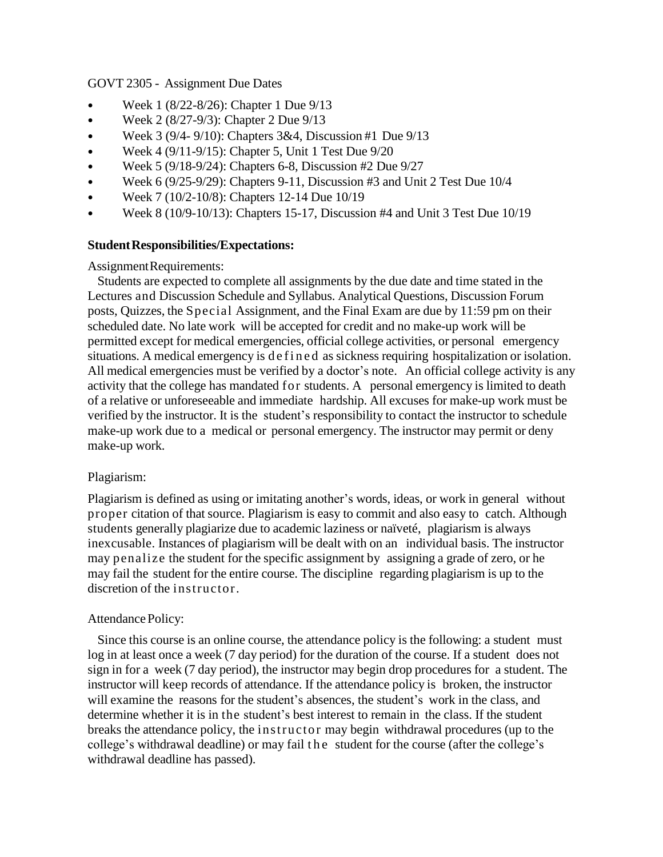### GOVT 2305 - Assignment Due Dates

- Week 1 (8/22-8/26): Chapter 1 Due 9/13
- Week  $2(8/27-9/3)$ : Chapter  $2$  Due  $9/13$
- Week 3 (9/4- 9/10): Chapters  $3&4$ , Discussion #1 Due 9/13
- Week 4 (9/11-9/15): Chapter 5, Unit 1 Test Due 9/20
- Week 5 (9/18-9/24): Chapters 6-8, Discussion #2 Due  $9/27$
- Week  $6 (9/25-9/29)$ : Chapters 9-11, Discussion #3 and Unit 2 Test Due 10/4
- Week 7 (10/2-10/8): Chapters 12-14 Due 10/19
- Week 8 (10/9-10/13): Chapters 15-17, Discussion #4 and Unit 3 Test Due 10/19

### **StudentResponsibilities/Expectations:**

Assignment Requirements:

Students are expected to complete all assignments by the due date and time stated in the Lectures and Discussion Schedule and Syllabus. Analytical Questions, Discussion Forum posts, Quizzes, the Special Assignment, and the Final Exam are due by 11:59 pm on their scheduled date. No late work will be accepted for credit and no make-up work will be permitted except for medical emergencies, official college activities, or personal emergency situations. A medical emergency is defined as sickness requiring hospitalization or isolation. All medical emergencies must be verified by a doctor's note. An official college activity is any activity that the college has mandated for students. A personal emergency is limited to death of a relative or unforeseeable and immediate hardship. All excuses for make-up work must be verified by the instructor. It is the student's responsibility to contact the instructor to schedule make-up work due to a medical or personal emergency. The instructor may permit or deny make-up work.

## Plagiarism:

Plagiarism is defined as using or imitating another's words, ideas, or work in general without proper citation of that source. Plagiarism is easy to commit and also easy to catch. Although students generally plagiarize due to academic laziness or naïveté, plagiarism is always inexcusable. Instances of plagiarism will be dealt with on an individual basis. The instructor may penalize the student for the specific assignment by assigning a grade of zero, or he may fail the student for the entire course. The discipline regarding plagiarism is up to the discretion of the instructor.

## Attendance Policy:

Since this course is an online course, the attendance policy is the following: a student must log in at least once a week (7 day period) for the duration of the course. If a student does not sign in for a week (7 day period), the instructor may begin drop procedures for a student. The instructor will keep records of attendance. If the attendance policy is broken, the instructor will examine the reasons for the student's absences, the student's work in the class, and determine whether it is in the student's best interest to remain in the class. If the student breaks the attendance policy, the instructor may begin withdrawal procedures (up to the college's withdrawal deadline) or may fail the student for the course (after the college's withdrawal deadline has passed).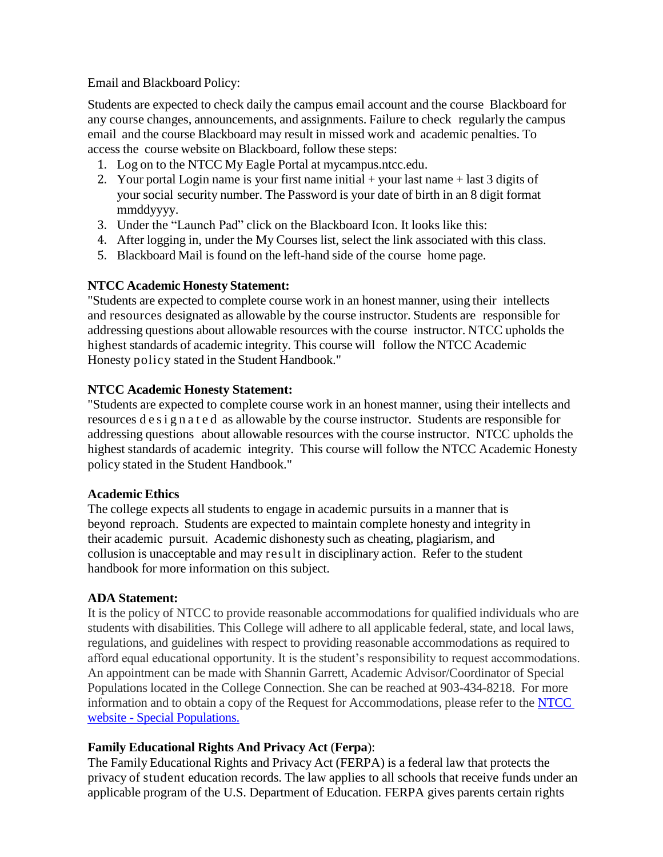Email and Blackboard Policy:

Students are expected to check daily the campus email account and the course Blackboard for any course changes, announcements, and assignments. Failure to check regularly the campus email and the course Blackboard may result in missed work and academic penalties. To access the course website on Blackboard, follow these steps:

- 1. Log on to the NTCC My Eagle Portal at mycampus.ntcc.edu.
- 2. Your portal Login name is your first name initial  $+$  your last name  $+$  last 3 digits of your social security number. The Password is your date of birth in an 8 digit format mmddyyyy.
- 3. Under the "Launch Pad" click on the Blackboard Icon. It looks like this:
- 4. After logging in, under the My Courses list, select the link associated with this class.
- 5. Blackboard Mail is found on the left-hand side of the course home page.

# **NTCC Academic Honesty Statement:**

"Students are expected to complete course work in an honest manner, using their intellects and resources designated as allowable by the course instructor. Students are responsible for addressing questions about allowable resources with the course instructor. NTCC upholds the highest standards of academic integrity. This course will follow the NTCC Academic Honesty policy stated in the Student Handbook."

# **NTCC Academic Honesty Statement:**

"Students are expected to complete course work in an honest manner, using their intellects and resources d e s i g n a t e d as allowable by the course instructor. Students are responsible for addressing questions about allowable resources with the course instructor. NTCC upholds the highest standards of academic integrity. This course will follow the NTCC Academic Honesty policy stated in the Student Handbook."

## **Academic Ethics**

The college expects all students to engage in academic pursuits in a manner that is beyond reproach. Students are expected to maintain complete honesty and integrity in their academic pursuit. Academic dishonesty such as cheating, plagiarism, and collusion is unacceptable and may result in disciplinary action. Refer to the student handbook for more information on this subject.

## **ADA Statement:**

It is the policy of NTCC to provide reasonable accommodations for qualified individuals who are students with disabilities. This College will adhere to all applicable federal, state, and local laws, regulations, and guidelines with respect to providing reasonable accommodations as required to afford equal educational opportunity. It is the student's responsibility to request accommodations. An appointment can be made with Shannin Garrett, Academic Advisor/Coordinator of Special Populations located in the College Connection. She can be reached at 903-434-8218. For more information and to obtain a copy of the Request for Accommodations, please refer to the [NTCC](http://www.ntcc.edu/index.php?module=Pagesetter&func=viewpub&tid=111&pid=1)  [website -](http://www.ntcc.edu/index.php?module=Pagesetter&func=viewpub&tid=111&pid=1) [Special Populations.](http://www.ntcc.edu/index.php?module=Pagesetter&func=viewpub&tid=111&pid=1) 

# **Family Educational Rights And Privacy Act** (**Ferpa**):

The Family Educational Rights and Privacy Act (FERPA) is a federal law that protects the privacy of student education records. The law applies to all schools that receive funds under an applicable program of the U.S. Department of Education. FERPA gives parents certain rights